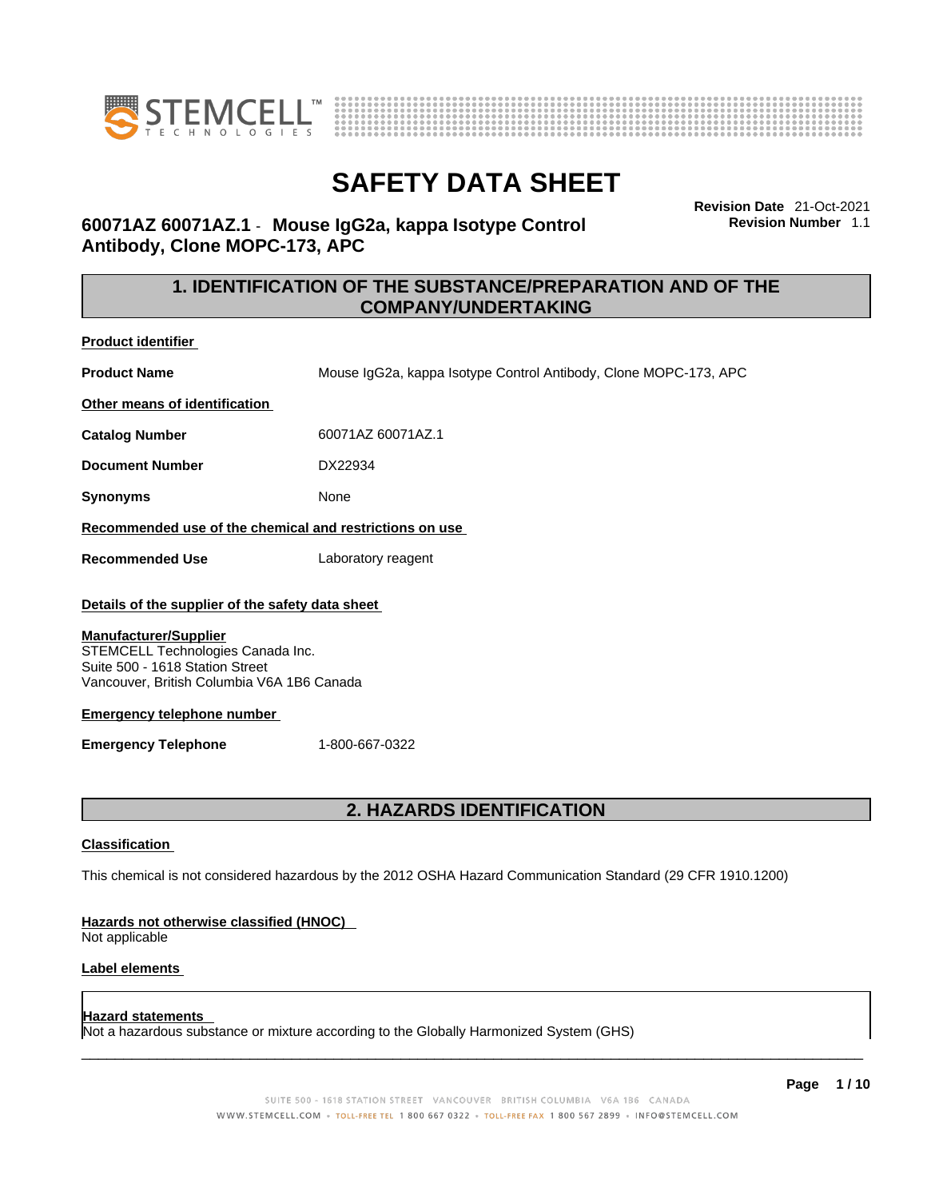



**Revision Date** 21-Oct-2021

**Revision Number** 1.1

# **SAFETY DATA SHEET**

**60071AZ 60071AZ.1** - **Mouse IgG2a, kappa Isotype Control Antibody, Clone MOPC-173, APC** 

> **1. IDENTIFICATION OF THE SUBSTANCE/PREPARATION AND OF THE COMPANY/UNDERTAKING**

**Product identifier**

**Product Name** Mouse IgG2a, kappa Isotype Control Antibody, Clone MOPC-173, APC

**Other means of identification**

**Catalog Number** 60071AZ 60071AZ.1

**Document Number** DX22934

**Synonyms** None

**Recommended use of the chemical and restrictions on use**

**Recommended Use** Laboratory reagent

### **Details of the supplier of the safety data sheet**

#### **Manufacturer/Supplier**

STEMCELL Technologies Canada Inc. Suite 500 - 1618 Station Street Vancouver, British Columbia V6A 1B6 Canada

### **Emergency telephone number**

**Emergency Telephone** 1-800-667-0322

### **2. HAZARDS IDENTIFICATION**

### **Classification**

This chemical is not considered hazardous by the 2012 OSHA Hazard Communication Standard (29 CFR 1910.1200)

### **Hazards not otherwise classified (HNOC)**

Not applicable

### **Label elements**

### **Hazard statements**

Not a hazardous substance or mixture according to the Globally Harmonized System (GHS)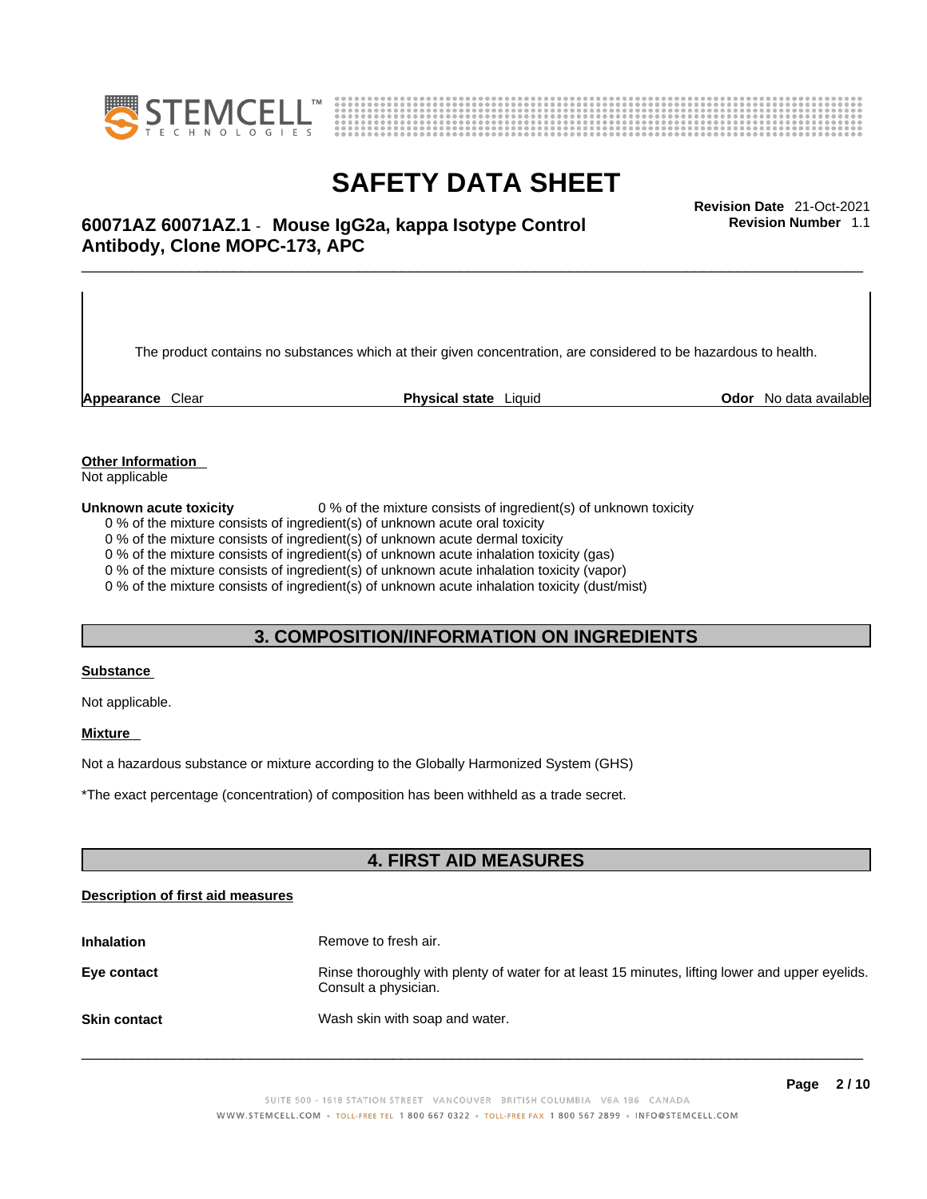



## \_\_\_\_\_\_\_\_\_\_\_\_\_\_\_\_\_\_\_\_\_\_\_\_\_\_\_\_\_\_\_\_\_\_\_\_\_\_\_\_\_\_\_\_\_\_\_\_\_\_\_\_\_\_\_\_\_\_\_\_\_\_\_\_\_\_\_\_\_\_\_\_\_\_\_\_\_\_\_\_\_\_\_\_\_\_\_\_\_\_\_\_\_ **Revision Date** 21-Oct-2021 **60071AZ 60071AZ.1** - **Mouse IgG2a, kappa Isotype Control Antibody, Clone MOPC-173, APC**

The product contains no substances which at their given concentration, are considered to be hazardous to health.

**Appearance** Clear **Physical state** Liquid **Odor** No data available

**Revision Number** 1.1

**Other Information** 

Not applicable

**Unknown acute toxicity** 0 % of the mixture consists of ingredient(s) of unknown toxicity

0 % of the mixture consists of ingredient(s) of unknown acute oral toxicity

0 % of the mixture consists of ingredient(s) of unknown acute dermal toxicity

0 % of the mixture consists of ingredient(s) of unknown acute inhalation toxicity (gas)

0 % of the mixture consists of ingredient(s) of unknown acute inhalation toxicity (vapor)

0 % of the mixture consists of ingredient(s) of unknown acute inhalation toxicity (dust/mist)

### **3. COMPOSITION/INFORMATION ON INGREDIENTS**

### **Substance**

Not applicable.

### **Mixture**

Not a hazardous substance or mixture according to the Globally Harmonized System (GHS)

\*The exact percentage (concentration) ofcomposition has been withheld as a trade secret.

### **4. FIRST AID MEASURES**

### **Description of first aid measures**

| <b>Inhalation</b>   | Remove to fresh air.                                                                                                    |
|---------------------|-------------------------------------------------------------------------------------------------------------------------|
| Eye contact         | Rinse thoroughly with plenty of water for at least 15 minutes, lifting lower and upper eyelids.<br>Consult a physician. |
| <b>Skin contact</b> | Wash skin with soap and water.                                                                                          |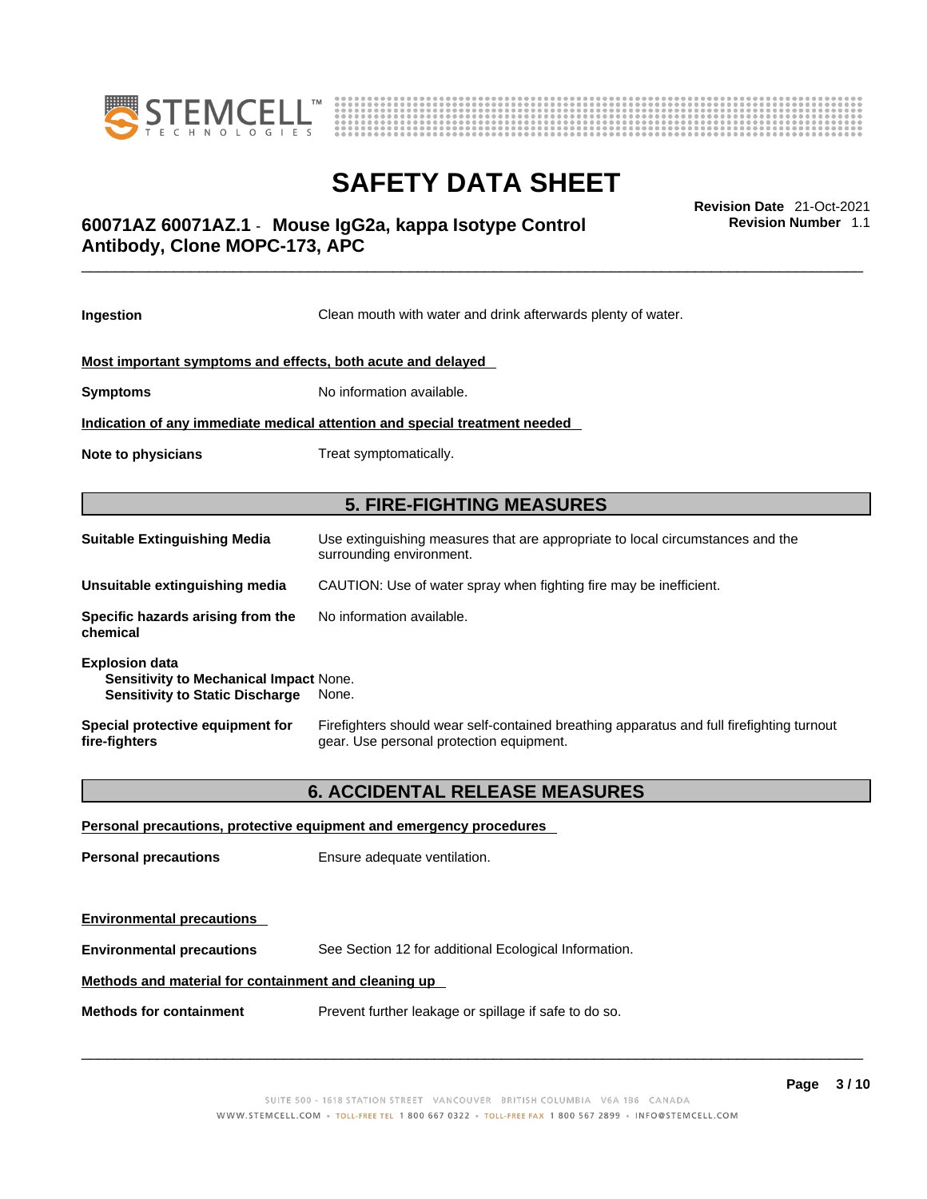



## \_\_\_\_\_\_\_\_\_\_\_\_\_\_\_\_\_\_\_\_\_\_\_\_\_\_\_\_\_\_\_\_\_\_\_\_\_\_\_\_\_\_\_\_\_\_\_\_\_\_\_\_\_\_\_\_\_\_\_\_\_\_\_\_\_\_\_\_\_\_\_\_\_\_\_\_\_\_\_\_\_\_\_\_\_\_\_\_\_\_\_\_\_ **Revision Date** 21-Oct-2021 **60071AZ 60071AZ.1** - **Mouse IgG2a, kappa Isotype Control Antibody, Clone MOPC-173, APC**

**Revision Number** 1.1

| Ingestion                                                                                                 | Clean mouth with water and drink afterwards plenty of water.                                                                          |  |
|-----------------------------------------------------------------------------------------------------------|---------------------------------------------------------------------------------------------------------------------------------------|--|
| Most important symptoms and effects, both acute and delayed                                               |                                                                                                                                       |  |
| <b>Symptoms</b>                                                                                           | No information available.                                                                                                             |  |
|                                                                                                           | Indication of any immediate medical attention and special treatment needed                                                            |  |
| Note to physicians                                                                                        | Treat symptomatically.                                                                                                                |  |
|                                                                                                           | <b>5. FIRE-FIGHTING MEASURES</b>                                                                                                      |  |
| <b>Suitable Extinguishing Media</b>                                                                       | Use extinguishing measures that are appropriate to local circumstances and the<br>surrounding environment.                            |  |
| Unsuitable extinguishing media                                                                            | CAUTION: Use of water spray when fighting fire may be inefficient.                                                                    |  |
| Specific hazards arising from the<br>chemical                                                             | No information available.                                                                                                             |  |
| <b>Explosion data</b><br>Sensitivity to Mechanical Impact None.<br><b>Sensitivity to Static Discharge</b> | None.                                                                                                                                 |  |
| Special protective equipment for<br>fire-fighters                                                         | Firefighters should wear self-contained breathing apparatus and full firefighting turnout<br>gear. Use personal protection equipment. |  |
| <b>6. ACCIDENTAL RELEASE MEASURES</b>                                                                     |                                                                                                                                       |  |
|                                                                                                           | Personal precautions, protective equipment and emergency procedures                                                                   |  |
| <b>Personal precautions</b>                                                                               | Ensure adequate ventilation.                                                                                                          |  |
|                                                                                                           |                                                                                                                                       |  |
| <b>Environmental precautions</b>                                                                          |                                                                                                                                       |  |

**Environmental precautions** See Section 12 for additional Ecological Information.

### **Methods and material for containment and cleaning up**

**Methods for containment** Prevent further leakage or spillage if safe to do so.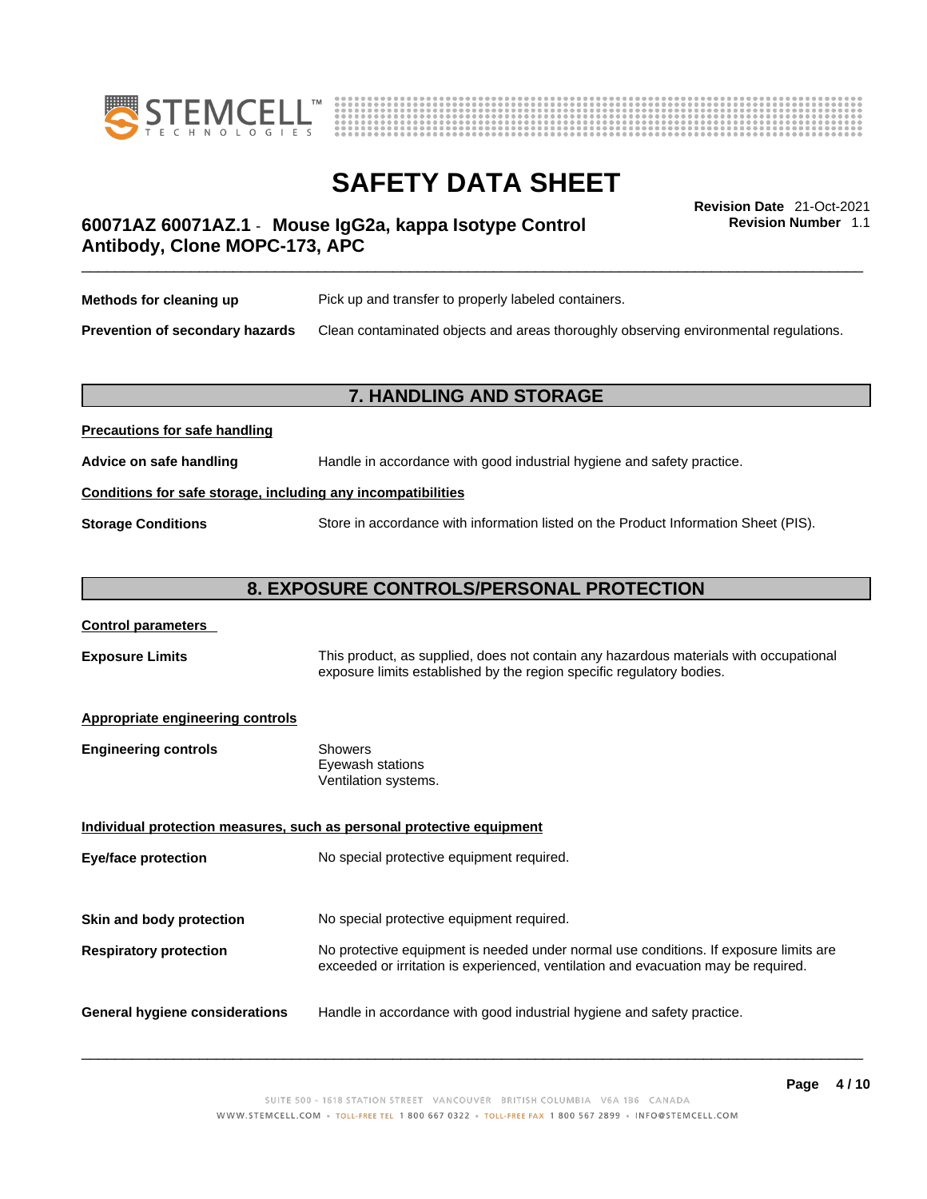



**Revision Number** 1.1

## \_\_\_\_\_\_\_\_\_\_\_\_\_\_\_\_\_\_\_\_\_\_\_\_\_\_\_\_\_\_\_\_\_\_\_\_\_\_\_\_\_\_\_\_\_\_\_\_\_\_\_\_\_\_\_\_\_\_\_\_\_\_\_\_\_\_\_\_\_\_\_\_\_\_\_\_\_\_\_\_\_\_\_\_\_\_\_\_\_\_\_\_\_ **Revision Date** 21-Oct-2021 **60071AZ 60071AZ.1** - **Mouse IgG2a, kappa Isotype Control Antibody, Clone MOPC-173, APC**

| Methods for cleaning up                | Pick up and transfer to properly labeled containers.                                 |
|----------------------------------------|--------------------------------------------------------------------------------------|
| <b>Prevention of secondary hazards</b> | Clean contaminated objects and areas thoroughly observing environmental regulations. |

### **7. HANDLING AND STORAGE**

# **Precautions for safe handling Advice on safe handling** Handle in accordance with good industrial hygiene and safety practice. **Conditions for safe storage, including any incompatibilities Storage Conditions** Store in accordance with information listed on the Product Information Sheet (PIS).

### **8. EXPOSURE CONTROLS/PERSONAL PROTECTION**

### **Control parameters**

**Exposure Limits** This product, as supplied, does not contain any hazardous materials with occupational exposure limits established by the region specific regulatory bodies.

### **Appropriate engineering controls**

| <b>Engineering controls</b> | Showers              |
|-----------------------------|----------------------|
|                             | Eyewash stations     |
|                             | Ventilation systems. |

**Individual protection measures, such as personal protective equipment Eye/face protection** No special protective equipment required. **Skin and body protection** No special protective equipment required. **Respiratory protection** No protective equipment is needed under normal use conditions. If exposure limits are exceeded or irritation is experienced, ventilation and evacuation may be required. **General hygiene considerations** Handle in accordance with good industrial hygiene and safety practice.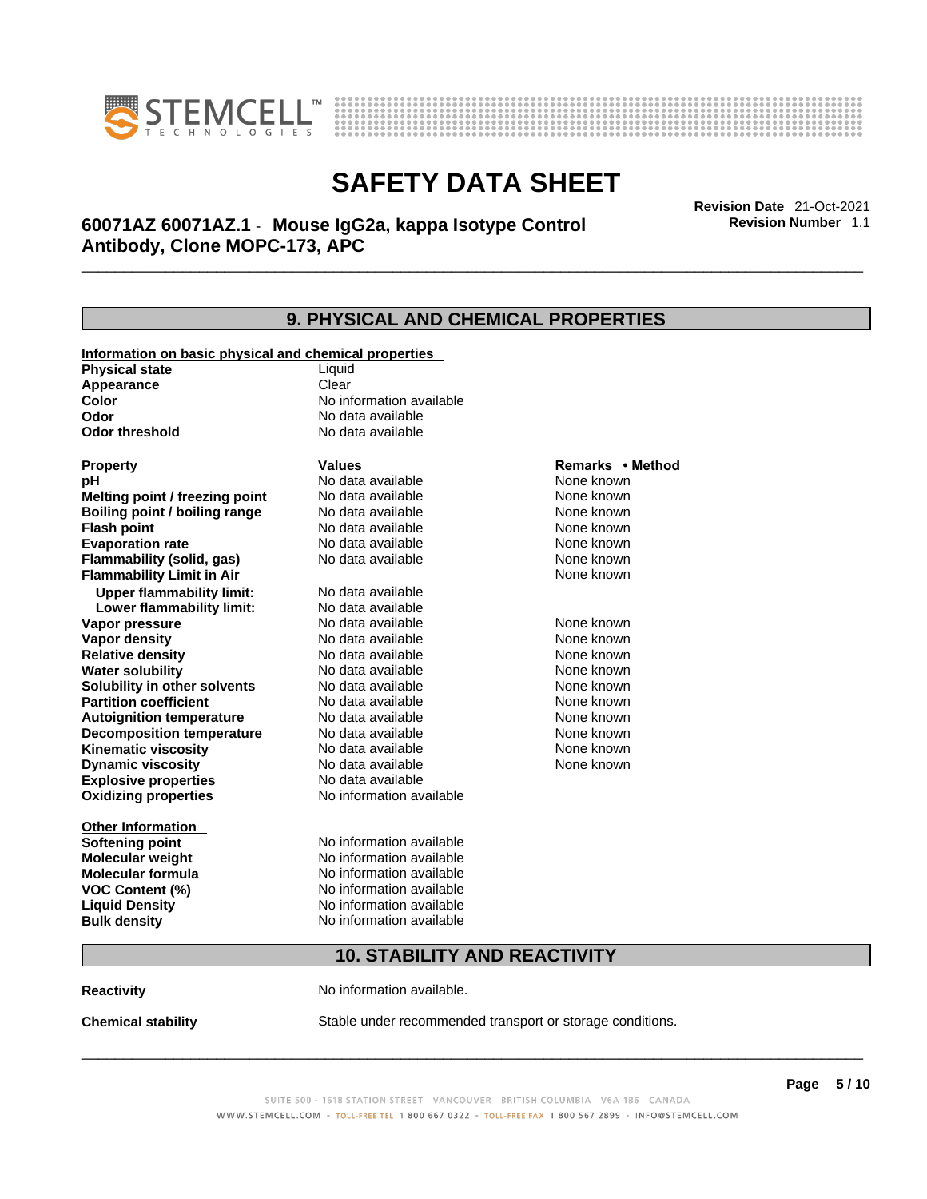



\_\_\_\_\_\_\_\_\_\_\_\_\_\_\_\_\_\_\_\_\_\_\_\_\_\_\_\_\_\_\_\_\_\_\_\_\_\_\_\_\_\_\_\_\_\_\_\_\_\_\_\_\_\_\_\_\_\_\_\_\_\_\_\_\_\_\_\_\_\_\_\_\_\_\_\_\_\_\_\_\_\_\_\_\_\_\_\_\_\_\_\_\_ **Revision Date** 21-Oct-2021 **60071AZ 60071AZ.1** - **Mouse IgG2a, kappa Isotype Control Antibody, Clone MOPC-173, APC** 

**Revision Number** 1.1

## **9. PHYSICAL AND CHEMICAL PROPERTIES**

| Information on basic physical and chemical properties |                          |                  |
|-------------------------------------------------------|--------------------------|------------------|
| <b>Physical state</b>                                 | Liquid                   |                  |
| Appearance                                            | Clear                    |                  |
| Color                                                 | No information available |                  |
| Odor                                                  | No data available        |                  |
| <b>Odor threshold</b>                                 | No data available        |                  |
|                                                       |                          |                  |
| <b>Property</b>                                       | <b>Values</b>            | Remarks • Method |
| рH                                                    | No data available        | None known       |
| Melting point / freezing point                        | No data available        | None known       |
| Boiling point / boiling range                         | No data available        | None known       |
| <b>Flash point</b>                                    | No data available        | None known       |
| <b>Evaporation rate</b>                               | No data available        | None known       |
| Flammability (solid, gas)                             | No data available        | None known       |
| <b>Flammability Limit in Air</b>                      |                          | None known       |
| <b>Upper flammability limit:</b>                      | No data available        |                  |
| Lower flammability limit:                             | No data available        |                  |
| Vapor pressure                                        | No data available        | None known       |
| Vapor density                                         | No data available        | None known       |
| <b>Relative density</b>                               | No data available        | None known       |
| <b>Water solubility</b>                               | No data available        | None known       |
| Solubility in other solvents                          | No data available        | None known       |
| <b>Partition coefficient</b>                          | No data available        | None known       |
| <b>Autoignition temperature</b>                       | No data available        | None known       |
| <b>Decomposition temperature</b>                      | No data available        | None known       |
| <b>Kinematic viscosity</b>                            | No data available        | None known       |
| <b>Dynamic viscosity</b>                              | No data available        | None known       |
| <b>Explosive properties</b>                           | No data available        |                  |
| <b>Oxidizing properties</b>                           | No information available |                  |
| <b>Other Information</b>                              |                          |                  |
| <b>Softening point</b>                                | No information available |                  |
| Molecular weight                                      | No information available |                  |
| <b>Molecular formula</b>                              | No information available |                  |
|                                                       | No information available |                  |
| <b>VOC Content (%)</b>                                | No information available |                  |
| <b>Liquid Density</b>                                 | No information available |                  |
| <b>Bulk density</b>                                   |                          |                  |
| <b>10. STABILITY AND REACTIVITY</b>                   |                          |                  |

**Reactivity No information available.** 

**Chemical stability** Stable under recommended transport or storage conditions.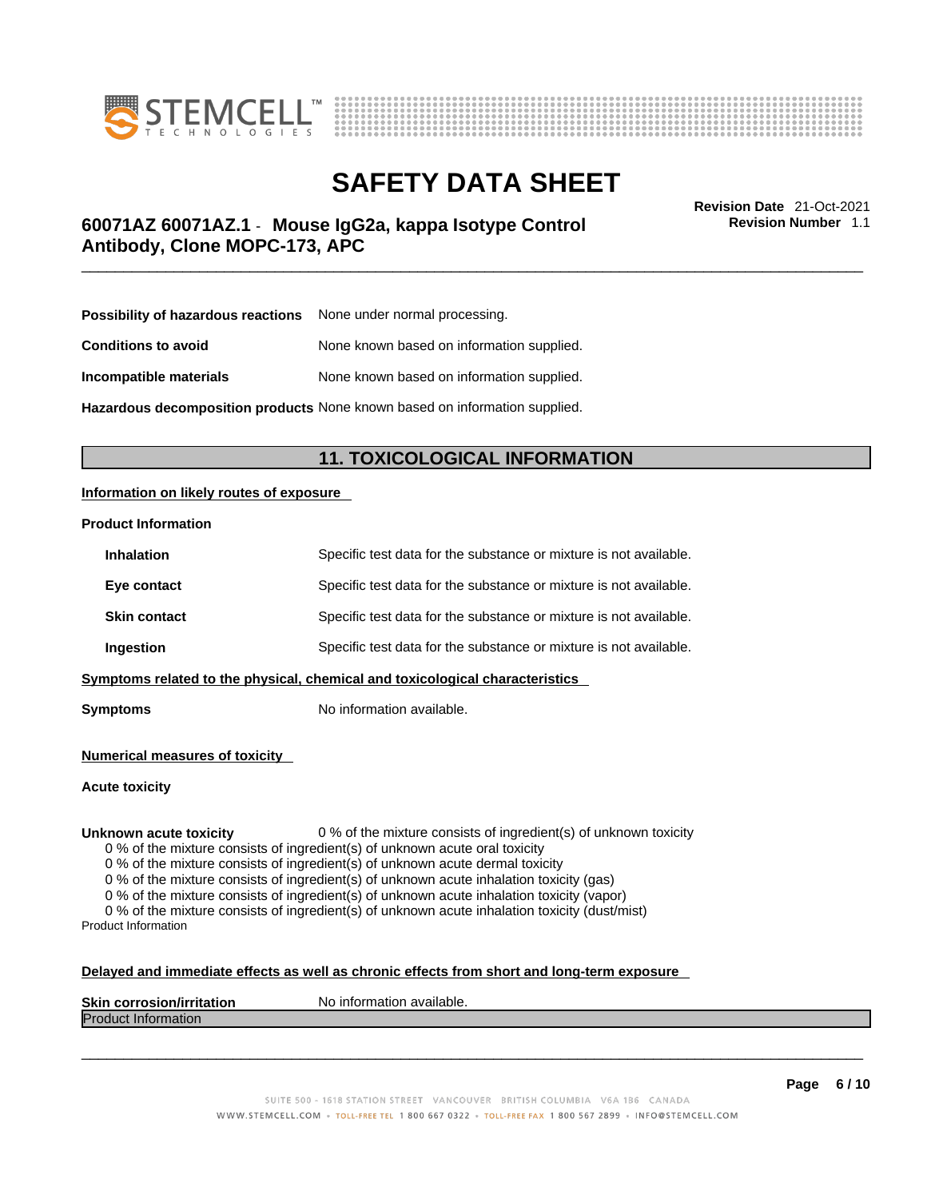



\_\_\_\_\_\_\_\_\_\_\_\_\_\_\_\_\_\_\_\_\_\_\_\_\_\_\_\_\_\_\_\_\_\_\_\_\_\_\_\_\_\_\_\_\_\_\_\_\_\_\_\_\_\_\_\_\_\_\_\_\_\_\_\_\_\_\_\_\_\_\_\_\_\_\_\_\_\_\_\_\_\_\_\_\_\_\_\_\_\_\_\_\_ **Revision Date** 21-Oct-2021 **60071AZ 60071AZ.1** - **Mouse IgG2a, kappa Isotype Control Antibody, Clone MOPC-173, APC** 

**Revision Number** 1.1

| <b>Possibility of hazardous reactions</b> None under normal processing. |                                           |
|-------------------------------------------------------------------------|-------------------------------------------|
| <b>Conditions to avoid</b>                                              | None known based on information supplied. |
| Incompatible materials                                                  | None known based on information supplied. |
|                                                                         |                                           |

**Hazardous decomposition products** None known based on information supplied.

### **11. TOXICOLOGICAL INFORMATION**

### **Information on likely routes of exposure**

### **Product Information**

| <b>Inhalation</b>                                                            | Specific test data for the substance or mixture is not available. |  |
|------------------------------------------------------------------------------|-------------------------------------------------------------------|--|
| Eye contact                                                                  | Specific test data for the substance or mixture is not available. |  |
| <b>Skin contact</b>                                                          | Specific test data for the substance or mixture is not available. |  |
| Ingestion                                                                    | Specific test data for the substance or mixture is not available. |  |
| Symptoms related to the physical, chemical and toxicological characteristics |                                                                   |  |

**Symptoms** No information available.

**Numerical measures of toxicity**

**Acute toxicity**

**Unknown acute toxicity** 0 % of the mixture consists of ingredient(s) of unknown toxicity

0 % of the mixture consists of ingredient(s) of unknown acute oral toxicity

0 % of the mixture consists of ingredient(s) of unknown acute dermal toxicity

0 % of the mixture consists of ingredient(s) of unknown acute inhalation toxicity (gas)

0 % of the mixture consists of ingredient(s) of unknown acute inhalation toxicity (vapor)

0 % of the mixture consists of ingredient(s) of unknown acute inhalation toxicity (dust/mist) Product Information

#### **Delayed and immediate effects as well as chronic effects from short and long-term exposure**

| <b>Skin corrosior</b><br>ion/irritation | `available.<br>No inforn<br>nation |
|-----------------------------------------|------------------------------------|
| Produc<br><b>Information</b>            |                                    |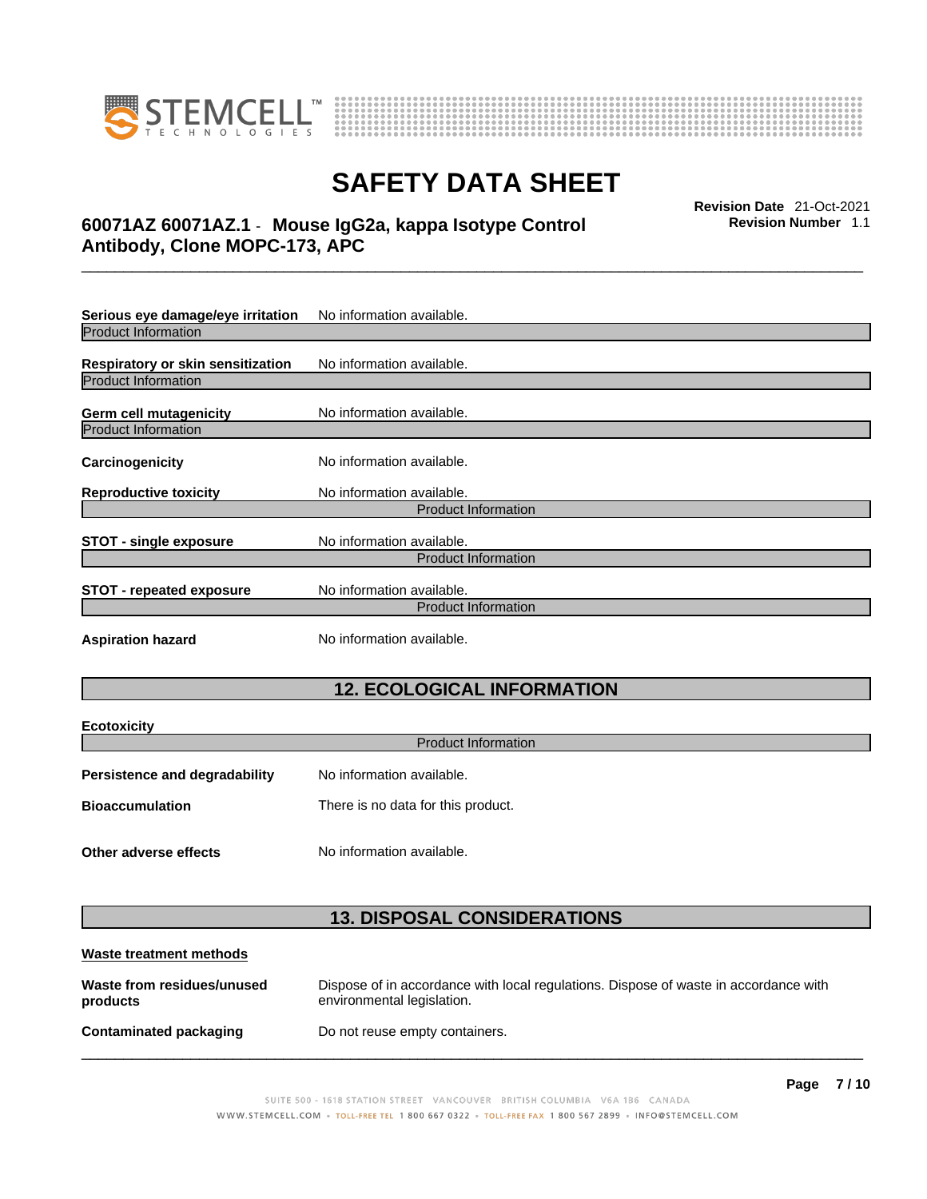

**Ecotoxicity** 



# **SAFETY DATA SHEET**

## \_\_\_\_\_\_\_\_\_\_\_\_\_\_\_\_\_\_\_\_\_\_\_\_\_\_\_\_\_\_\_\_\_\_\_\_\_\_\_\_\_\_\_\_\_\_\_\_\_\_\_\_\_\_\_\_\_\_\_\_\_\_\_\_\_\_\_\_\_\_\_\_\_\_\_\_\_\_\_\_\_\_\_\_\_\_\_\_\_\_\_\_\_ **Revision Date** 21-Oct-2021 **60071AZ 60071AZ.1** - **Mouse IgG2a, kappa Isotype Control Antibody, Clone MOPC-173, APC**

**Revision Number** 1.1

| Serious eye damage/eye irritation | No information available.  |  |  |
|-----------------------------------|----------------------------|--|--|
| Product Information               |                            |  |  |
| Respiratory or skin sensitization | No information available.  |  |  |
| <b>Product Information</b>        |                            |  |  |
| <b>Germ cell mutagenicity</b>     | No information available.  |  |  |
| <b>Product Information</b>        |                            |  |  |
| Carcinogenicity                   | No information available.  |  |  |
| <b>Reproductive toxicity</b>      | No information available.  |  |  |
|                                   | <b>Product Information</b> |  |  |
| <b>STOT - single exposure</b>     | No information available.  |  |  |
| <b>Product Information</b>        |                            |  |  |
| <b>STOT - repeated exposure</b>   | No information available.  |  |  |
|                                   | <b>Product Information</b> |  |  |
| <b>Aspiration hazard</b>          | No information available.  |  |  |

### **12. ECOLOGICAL INFORMATION**

| <b>ECOTOXICITY</b>                   |                                    |  |
|--------------------------------------|------------------------------------|--|
| <b>Product Information</b>           |                                    |  |
| <b>Persistence and degradability</b> | No information available.          |  |
| <b>Bioaccumulation</b>               | There is no data for this product. |  |
| Other adverse effects                | No information available.          |  |

### **13. DISPOSAL CONSIDERATIONS**

| Waste treatment methods                |                                                                                                                    |
|----------------------------------------|--------------------------------------------------------------------------------------------------------------------|
| Waste from residues/unused<br>products | Dispose of in accordance with local regulations. Dispose of waste in accordance with<br>environmental legislation. |
| <b>Contaminated packaging</b>          | Do not reuse empty containers.                                                                                     |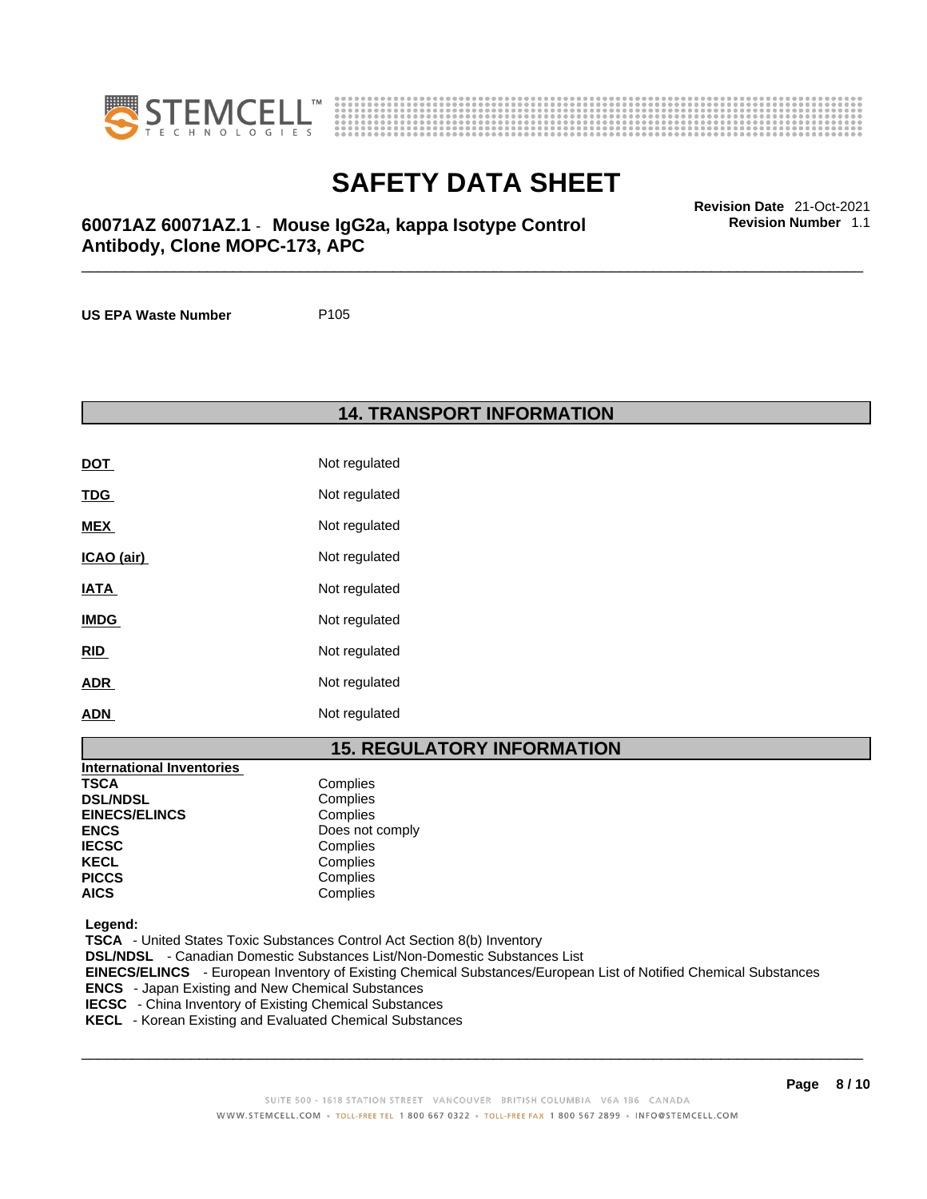



\_\_\_\_\_\_\_\_\_\_\_\_\_\_\_\_\_\_\_\_\_\_\_\_\_\_\_\_\_\_\_\_\_\_\_\_\_\_\_\_\_\_\_\_\_\_\_\_\_\_\_\_\_\_\_\_\_\_\_\_\_\_\_\_\_\_\_\_\_\_\_\_\_\_\_\_\_\_\_\_\_\_\_\_\_\_\_\_\_\_\_\_\_ **Revision Date** 21-Oct-2021 **60071AZ 60071AZ.1** - **Mouse IgG2a, kappa Isotype Control Antibody, Clone MOPC-173, APC** 

**US EPA Waste Number** P105

**14. TRANSPORT INFORMATION** 

| DOT         | Not regulated |
|-------------|---------------|
| <u>TDG</u>  | Not regulated |
| <b>MEX</b>  | Not regulated |
| ICAO (air)  | Not regulated |
| IATA        | Not regulated |
| <b>IMDG</b> | Not regulated |
| <u>RID</u>  | Not regulated |
| <b>ADR</b>  | Not regulated |
| <b>ADN</b>  | Not regulated |

### **15. REGULATORY INFORMATION**

| <b>International Inventories</b> |                 |
|----------------------------------|-----------------|
| <b>TSCA</b>                      | Complies        |
| <b>DSL/NDSL</b>                  | Complies        |
| <b>EINECS/ELINCS</b>             | Complies        |
| <b>ENCS</b>                      | Does not comply |
| <b>IECSC</b>                     | Complies        |
| <b>KECL</b>                      | Complies        |
| <b>PICCS</b>                     | Complies        |
| <b>AICS</b>                      | Complies        |

 **Legend:** 

 **TSCA** - United States Toxic Substances Control Act Section 8(b) Inventory  **DSL/NDSL** - Canadian Domestic Substances List/Non-Domestic Substances List  **EINECS/ELINCS** - European Inventory of Existing Chemical Substances/European List of Notified Chemical Substances  **ENCS** - Japan Existing and New Chemical Substances  **IECSC** - China Inventory of Existing Chemical Substances  **KECL** - Korean Existing and Evaluated Chemical Substances

 $\_$  ,  $\_$  ,  $\_$  ,  $\_$  ,  $\_$  ,  $\_$  ,  $\_$  ,  $\_$  ,  $\_$  ,  $\_$  ,  $\_$  ,  $\_$  ,  $\_$  ,  $\_$  ,  $\_$  ,  $\_$  ,  $\_$  ,  $\_$  ,  $\_$  ,  $\_$  ,  $\_$  ,  $\_$  ,  $\_$  ,  $\_$  ,  $\_$  ,  $\_$  ,  $\_$  ,  $\_$  ,  $\_$  ,  $\_$  ,  $\_$  ,  $\_$  ,  $\_$  ,  $\_$  ,  $\_$  ,  $\_$  ,  $\_$  ,

**Revision Number** 1.1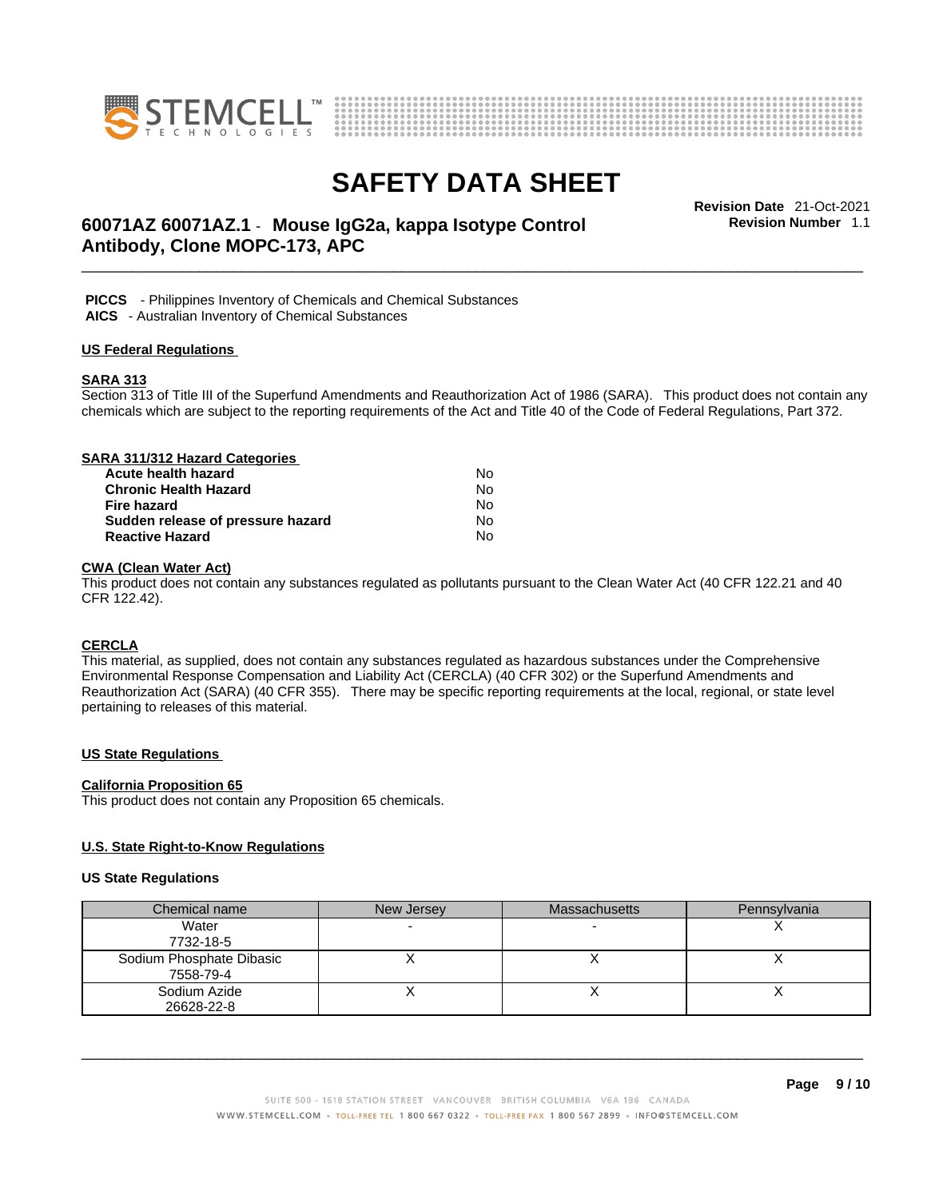



## \_\_\_\_\_\_\_\_\_\_\_\_\_\_\_\_\_\_\_\_\_\_\_\_\_\_\_\_\_\_\_\_\_\_\_\_\_\_\_\_\_\_\_\_\_\_\_\_\_\_\_\_\_\_\_\_\_\_\_\_\_\_\_\_\_\_\_\_\_\_\_\_\_\_\_\_\_\_\_\_\_\_\_\_\_\_\_\_\_\_\_\_\_ **Revision Date** 21-Oct-2021 **60071AZ 60071AZ.1** - **Mouse IgG2a, kappa Isotype Control Antibody, Clone MOPC-173, APC**

**Revision Number** 1.1

 **PICCS** - Philippines Inventory of Chemicals and Chemical Substances

 **AICS** - Australian Inventory of Chemical Substances

### **US Federal Regulations**

### **SARA 313**

Section 313 of Title III of the Superfund Amendments and Reauthorization Act of 1986 (SARA). This product does not contain any chemicals which are subject to the reporting requirements of the Act and Title 40 of the Code of Federal Regulations, Part 372.

| SARA 311/312 Hazard Categories    |    |  |
|-----------------------------------|----|--|
| Acute health hazard               | N٥ |  |
| <b>Chronic Health Hazard</b>      | No |  |
| <b>Fire hazard</b>                | No |  |
| Sudden release of pressure hazard | No |  |
| <b>Reactive Hazard</b>            | No |  |

### **CWA (Clean WaterAct)**

This product does not contain any substances regulated as pollutants pursuant to the Clean Water Act (40 CFR 122.21 and 40 CFR 122.42).

### **CERCLA**

This material, as supplied, does not contain any substances regulated as hazardous substances under the Comprehensive Environmental Response Compensation and Liability Act (CERCLA) (40 CFR 302) or the Superfund Amendments and Reauthorization Act (SARA) (40 CFR 355). There may be specific reporting requirements at the local, regional, or state level pertaining to releases of this material.

### **US State Regulations**

#### **California Proposition 65**

This product does not contain any Proposition 65 chemicals.

### **U.S. State Right-to-Know Regulations**

#### **US State Regulations**

| Chemical name            | New Jersey | <b>Massachusetts</b> | Pennsylvania |
|--------------------------|------------|----------------------|--------------|
| Water                    |            |                      |              |
| 7732-18-5                |            |                      |              |
| Sodium Phosphate Dibasic |            |                      |              |
| 7558-79-4                |            |                      |              |
| Sodium Azide             |            |                      |              |
| 26628-22-8               |            |                      |              |